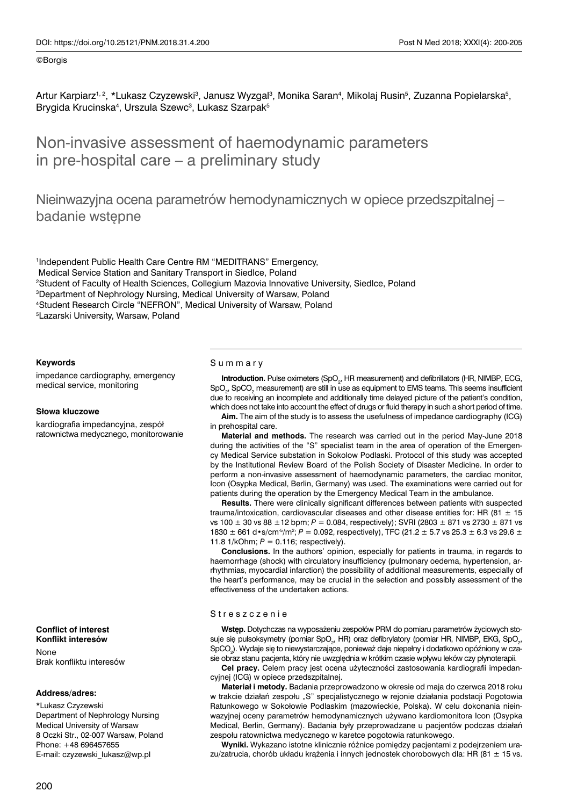Artur Karpiarz1,2, \*Lukasz Czyzewski<sup>3</sup>, Janusz Wyzgal<sup>3</sup>, Monika Saran<sup>4</sup>, Mikolaj Rusin<sup>5</sup>, Zuzanna Popielarska<sup>5</sup>, Brygida Krucinska<sup>4</sup>, Urszula Szewc<sup>3</sup>, Lukasz Szarpak<sup>5</sup>

# Non-invasive assessment of haemodynamic parameters in pre-hospital care – a preliminary study

Nieinwazyjna ocena parametrów hemodynamicznych w opiece przedszpitalnej – badanie wstępne

 Independent Public Health Care Centre RM "MEDITRANS" Emergency, Medical Service Station and Sanitary Transport in Siedlce, Poland Student of Faculty of Health Sciences, Collegium Mazovia Innovative University, Siedlce, Poland Department of Nephrology Nursing, Medical University of Warsaw, Poland Student Research Circle "NEFRON", Medical University of Warsaw, Poland Lazarski University, Warsaw, Poland

#### **Keywords**

impedance cardiography, emergency medical service, monitoring

#### **Słowa kluczowe**

kardiografia impedancyjna, zespół ratownictwa medycznego, monitorowanie

# **Conflict of interest Konflikt interesów**

None Brak konfliktu interesów

#### **Address/adres:**

\*Lukasz Czyzewski Department of Nephrology Nursing Medical University of Warsaw 8 Oczki Str., 02-007 Warsaw, Poland Phone: +48 696457655 E-mail: czyzewski\_lukasz@wp.pl

#### Summary

**Introduction.** Pulse oximeters (SpO<sub>2</sub>, HR measurement) and defibrillators (HR, NIMBP, ECG,  $\text{SpO}_2$ , SpCO<sub>2</sub> measurement) are still in use as equipment to EMS teams. This seems insufficient due to receiving an incomplete and additionally time delayed picture of the patient's condition, which does not take into account the effect of drugs or fluid therapy in such a short period of time.

**Aim.** The aim of the study is to assess the usefulness of impedance cardiography (ICG) in prehospital care.

**Material and methods.** The research was carried out in the period May-June 2018 during the activities of the "S" specialist team in the area of operation of the Emergency Medical Service substation in Sokolow Podlaski. Protocol of this study was accepted by the Institutional Review Board of the Polish Society of Disaster Medicine. In order to perform a non-invasive assessment of haemodynamic parameters, the cardiac monitor, Icon (Osypka Medical, Berlin, Germany) was used. The examinations were carried out for patients during the operation by the Emergency Medical Team in the ambulance.

**Results.** There were clinically significant differences between patients with suspected trauma/intoxication, cardiovascular diseases and other disease entities for: HR  $(81 \pm 15)$ vs 100 ± 30 vs 88 ±12 bpm; *P* = 0.084, respectively); SVRI (2803 ± 871 vs 2730 ± 871 vs 1830  $\pm$  661 d•s/cm<sup>-5</sup>/m<sup>2</sup>; *P* = 0.092, respectively), TFC (21.2  $\pm$  5.7 vs 25.3  $\pm$  6.3 vs 29.6  $\pm$ 11.8 1/kOhm; *P* = 0.116; respectively).

**Conclusions.** In the authors' opinion, especially for patients in trauma, in regards to haemorrhage (shock) with circulatory insufficiency (pulmonary oedema, hypertension, arrhythmias, myocardial infarction) the possibility of additional measurements, especially of the heart's performance, may be crucial in the selection and possibly assessment of the effectiveness of the undertaken actions.

#### Streszczenie

**Wstęp.** Dotychczas na wyposażeniu zespołów PRM do pomiaru parametrów życiowych stosuje się pulsoksymetry (pomiar SpO<sub>2</sub>, HR) oraz defibrylatory (pomiar HR, NIMBP, EKG, SpO<sub>2</sub>,  $\operatorname{\mathsf{SpCO}}_2$ ). Wydaje się to niewystarczające, ponieważ daje niepełny i dodatkowo opóźniony w czasie obraz stanu pacjenta, który nie uwzględnia w krótkim czasie wpływu leków czy płynoterapii.

**Cel pracy.** Celem pracy jest ocena użyteczności zastosowania kardiografii impedancyjnej (ICG) w opiece przedszpitalnej.

**Materiał i metody.** Badania przeprowadzono w okresie od maja do czerwca 2018 roku w trakcie działań zespołu "S" specjalistycznego w rejonie działania podstacji Pogotowia Ratunkowego w Sokołowie Podlaskim (mazowieckie, Polska). W celu dokonania nieinwazyjnej oceny parametrów hemodynamicznych używano kardiomonitora Icon (Osypka Medical, Berlin, Germany). Badania były przeprowadzane u pacjentów podczas działań zespołu ratownictwa medycznego w karetce pogotowia ratunkowego.

**Wyniki.** Wykazano istotne klinicznie różnice pomiędzy pacjentami z podejrzeniem urazu/zatrucia, chorób układu krążenia i innych jednostek chorobowych dla: HR (81  $\pm$  15 vs.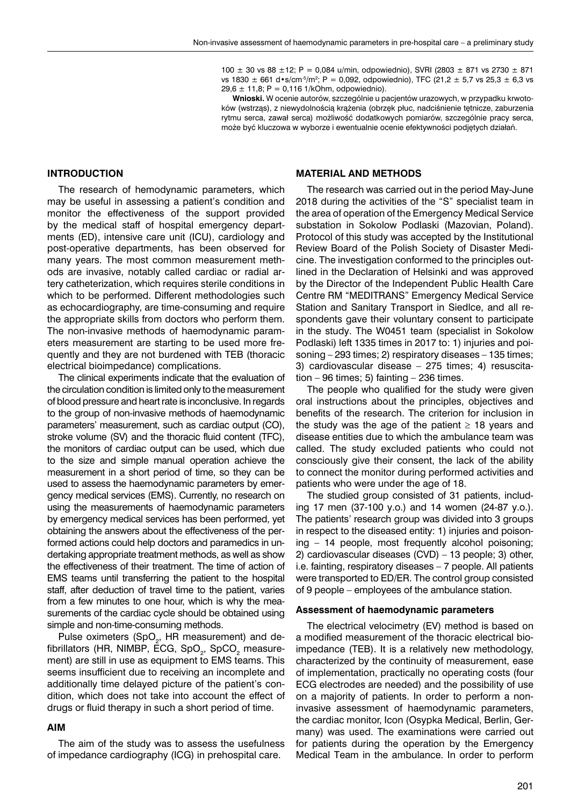100  $\pm$  30 vs 88  $\pm$ 12; P = 0,084 u/min, odpowiednio), SVRI (2803  $\pm$  871 vs 2730  $\pm$  871 vs 1830  $\pm$  661 d $\cdot$ s/cm $\cdot$ 5/m²; P = 0,092, odpowiednio), TFC (21,2  $\pm$  5,7 vs 25,3  $\pm$  6,3 vs  $29.6 \pm 11.8$ ; P = 0.116 1/kOhm, odpowiednio).

**Wnioski.** W ocenie autorów, szczególnie u pacjentów urazowych, w przypadku krwotoków (wstrząs), z niewydolnością krążenia (obrzęk płuc, nadciśnienie tętnicze, zaburzenia rytmu serca, zawał serca) możliwość dodatkowych pomiarów, szczególnie pracy serca, może być kluczowa w wyborze i ewentualnie ocenie efektywności podjętych działań.

### **INTRODUCTION**

The research of hemodynamic parameters, which may be useful in assessing a patient's condition and monitor the effectiveness of the support provided by the medical staff of hospital emergency departments (ED), intensive care unit (ICU), cardiology and post-operative departments, has been observed for many years. The most common measurement methods are invasive, notably called cardiac or radial artery catheterization, which requires sterile conditions in which to be performed. Different methodologies such as echocardiography, are time-consuming and require the appropriate skills from doctors who perform them. The non-invasive methods of haemodynamic parameters measurement are starting to be used more frequently and they are not burdened with TEB (thoracic electrical bioimpedance) complications.

The clinical experiments indicate that the evaluation of the circulation condition is limited only to the measurement of blood pressure and heart rate is inconclusive. In regards to the group of non-invasive methods of haemodynamic parameters' measurement, such as cardiac output (CO), stroke volume (SV) and the thoracic fluid content (TFC), the monitors of cardiac output can be used, which due to the size and simple manual operation achieve the measurement in a short period of time, so they can be used to assess the haemodynamic parameters by emergency medical services (EMS). Currently, no research on using the measurements of haemodynamic parameters by emergency medical services has been performed, yet obtaining the answers about the effectiveness of the performed actions could help doctors and paramedics in undertaking appropriate treatment methods, as well as show the effectiveness of their treatment. The time of action of EMS teams until transferring the patient to the hospital staff, after deduction of travel time to the patient, varies from a few minutes to one hour, which is why the measurements of the cardiac cycle should be obtained using simple and non-time-consuming methods.

Pulse oximeters (SpO<sub>2</sub>, HR measurement) and defibrillators (HR, NIMBP, ECG, SpO $_2$ , SpCO $_2$  measurement) are still in use as equipment to EMS teams. This seems insufficient due to receiving an incomplete and additionally time delayed picture of the patient's condition, which does not take into account the effect of drugs or fluid therapy in such a short period of time.

## **AIM**

The aim of the study was to assess the usefulness of impedance cardiography (ICG) in prehospital care.

## **MATERIAL AND METHODS**

The research was carried out in the period May-June 2018 during the activities of the "S" specialist team in the area of operation of the Emergency Medical Service substation in Sokolow Podlaski (Mazovian, Poland). Protocol of this study was accepted by the Institutional Review Board of the Polish Society of Disaster Medicine. The investigation conformed to the principles outlined in the Declaration of Helsinki and was approved by the Director of the Independent Public Health Care Centre RM "MEDITRANS" Emergency Medical Service Station and Sanitary Transport in Siedlce, and all respondents gave their voluntary consent to participate in the study. The W0451 team (specialist in Sokolow Podlaski) left 1335 times in 2017 to: 1) injuries and poisoning – 293 times; 2) respiratory diseases – 135 times; 3) cardiovascular disease – 275 times; 4) resuscitation  $-96$  times; 5) fainting  $-236$  times.

The people who qualified for the study were given oral instructions about the principles, objectives and benefits of the research. The criterion for inclusion in the study was the age of the patient  $\geq$  18 years and disease entities due to which the ambulance team was called. The study excluded patients who could not consciously give their consent, the lack of the ability to connect the monitor during performed activities and patients who were under the age of 18.

The studied group consisted of 31 patients, including 17 men (37-100 y.o.) and 14 women (24-87 y.o.). The patients' research group was divided into 3 groups in respect to the diseased entity: 1) injuries and poisoning – 14 people, most frequently alcohol poisoning; 2) cardiovascular diseases (CVD) – 13 people; 3) other, i.e. fainting, respiratory diseases – 7 people. All patients were transported to ED/ER. The control group consisted of 9 people – employees of the ambulance station.

## **Assessment of haemodynamic parameters**

The electrical velocimetry (EV) method is based on a modified measurement of the thoracic electrical bioimpedance (TEB). It is a relatively new methodology, characterized by the continuity of measurement, ease of implementation, practically no operating costs (four ECG electrodes are needed) and the possibility of use on a majority of patients. In order to perform a noninvasive assessment of haemodynamic parameters, the cardiac monitor, Icon (Osypka Medical, Berlin, Germany) was used. The examinations were carried out for patients during the operation by the Emergency Medical Team in the ambulance. In order to perform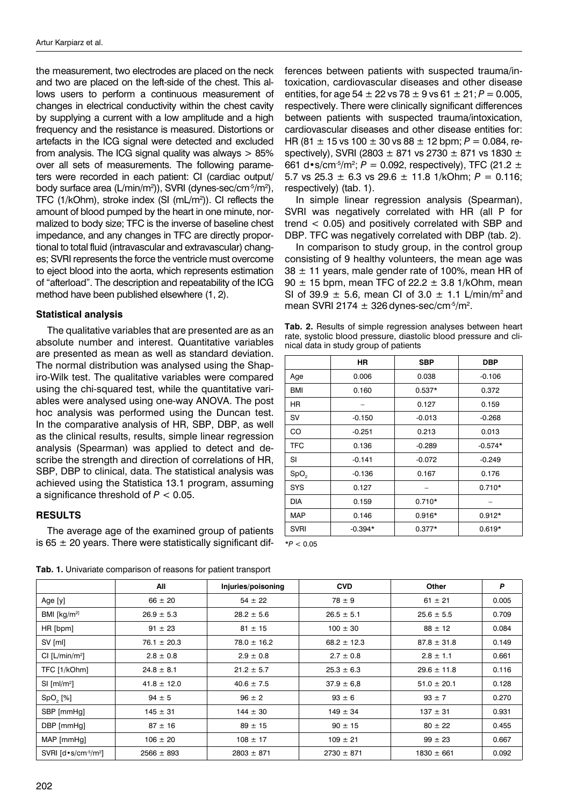the measurement, two electrodes are placed on the neck and two are placed on the left-side of the chest. This allows users to perform a continuous measurement of changes in electrical conductivity within the chest cavity by supplying a current with a low amplitude and a high frequency and the resistance is measured. Distortions or artefacts in the ICG signal were detected and excluded from analysis. The ICG signal quality was always  $> 85\%$ over all sets of measurements. The following parameters were recorded in each patient: CI (cardiac output/ body surface area (L/min/m<sup>2</sup>)), SVRI (dynes-sec/cm<sup>-5</sup>/m<sup>2</sup>), TFC (1/kOhm), stroke index (SI (mL/m2 )). CI reflects the amount of blood pumped by the heart in one minute, normalized to body size; TFC is the inverse of baseline chest impedance, and any changes in TFC are directly proportional to total fluid (intravascular and extravascular) changes; SVRI represents the force the ventricle must overcome to eject blood into the aorta, which represents estimation of "afterload". The description and repeatability of the ICG method have been published elsewhere (1, 2).

## **Statistical analysis**

The qualitative variables that are presented are as an absolute number and interest. Quantitative variables are presented as mean as well as standard deviation. The normal distribution was analysed using the Shapiro-Wilk test. The qualitative variables were compared using the chi-squared test, while the quantitative variables were analysed using one-way ANOVA. The post hoc analysis was performed using the Duncan test. In the comparative analysis of HR, SBP, DBP, as well as the clinical results, results, simple linear regression analysis (Spearman) was applied to detect and describe the strength and direction of correlations of HR, SBP, DBP to clinical, data. The statistical analysis was achieved using the Statistica 13.1 program, assuming a significance threshold of *P* < 0.05.

# **RESULTS**

The average age of the examined group of patients is 65  $\pm$  20 years. There were statistically significant differences between patients with suspected trauma/intoxication, cardiovascular diseases and other disease entities, for age 54  $\pm$  22 vs 78  $\pm$  9 vs 61  $\pm$  21; *P* = 0.005, respectively. There were clinically significant differences between patients with suspected trauma/intoxication, cardiovascular diseases and other disease entities for: HR (81  $\pm$  15 vs 100  $\pm$  30 vs 88  $\pm$  12 bpm;  $P = 0.084$ , respectively), SVRI (2803  $\pm$  871 vs 2730  $\pm$  871 vs 1830  $\pm$ 661 d•s/cm<sup>-5</sup>/m<sup>2</sup>; *P* = 0.092, respectively), TFC (21.2  $\pm$ 5.7 vs  $25.3 \pm 6.3$  vs  $29.6 \pm 11.8$  1/kOhm;  $P = 0.116$ ; respectively) (tab. 1).

In simple linear regression analysis (Spearman), SVRI was negatively correlated with HR (all P for trend < 0.05) and positively correlated with SBP and DBP. TFC was negatively correlated with DBP (tab. 2).

In comparison to study group, in the control group consisting of 9 healthy volunteers, the mean age was  $38 \pm 11$  years, male gender rate of 100%, mean HR of  $90 \pm 15$  bpm, mean TFC of 22.2  $\pm$  3.8 1/kOhm, mean SI of 39.9  $\pm$  5.6, mean CI of 3.0  $\pm$  1.1 L/min/m<sup>2</sup> and mean SVRI 2174  $\pm$  326 dynes-sec/cm<sup>-5</sup>/m<sup>2</sup>.

**Tab. 2.** Results of simple regression analyses between heart rate, systolic blood pressure, diastolic blood pressure and clinical data in study group of patients

|                  | ΗR        | <b>SBP</b> | <b>DBP</b> |
|------------------|-----------|------------|------------|
| Age              | 0.006     | 0.038      | $-0.106$   |
| <b>BMI</b>       | 0.160     | $0.537*$   | 0.372      |
| HR               |           | 0.127      | 0.159      |
| sv               | $-0.150$  | $-0.013$   | $-0.268$   |
| CO               | $-0.251$  | 0.213      | 0.013      |
| <b>TFC</b>       | 0.136     | $-0.289$   | $-0.574*$  |
| SI               | $-0.141$  | $-0.072$   | $-0.249$   |
| SpO <sub>2</sub> | $-0.136$  | 0.167      | 0.176      |
| <b>SYS</b>       | 0.127     |            | $0.710*$   |
| <b>DIA</b>       | 0.159     | $0.710*$   |            |
| MAP              | 0.146     | $0.916*$   | $0.912*$   |
| <b>SVRI</b>      | $-0.394*$ | $0.377*$   | $0.619*$   |

*\*P* < 0.05

|                                                           | All             | Injuries/poisoning | <b>CVD</b>      | Other           | P     |
|-----------------------------------------------------------|-----------------|--------------------|-----------------|-----------------|-------|
| Age [y]                                                   | $66 \pm 20$     | $54 \pm 22$        | $78 \pm 9$      | $61 \pm 21$     | 0.005 |
| BMI $\left[\frac{kg}{m^2}\right]$                         | $26.9 \pm 5.3$  | $28.2 \pm 5.6$     | $26.5 \pm 5.1$  | $25.6 \pm 5.5$  | 0.709 |
| HR [bpm]                                                  | $91 \pm 23$     | $81 \pm 15$        | $100 \pm 30$    | $88 \pm 12$     | 0.084 |
| SV [ml]                                                   | $76.1 \pm 20.3$ | $78.0 \pm 16.2$    | $68.2 \pm 12.3$ | $87.8 \pm 31.8$ | 0.149 |
| Cl [L/min/m <sup>2</sup> ]                                | $2.8 \pm 0.8$   | $2.9 \pm 0.8$      | $2.7 \pm 0.8$   | $2.8 \pm 1.1$   | 0.661 |
| TFC [1/kOhm]                                              | $24.8 \pm 8.1$  | $21.2 \pm 5.7$     | $25.3 \pm 6.3$  | $29.6 \pm 11.8$ | 0.116 |
| $SI$ [ml/m <sup>2</sup> ]                                 | $41.8 \pm 12.0$ | $40.6 \pm 7.5$     | $37.9 \pm 6.8$  | $51.0 \pm 20.1$ | 0.128 |
| SpO, [%]                                                  | $94 \pm 5$      | $96 \pm 2$         | $93 \pm 6$      | $93 \pm 7$      | 0.270 |
| SBP [mmHg]                                                | $145 \pm 31$    | $144 \pm 30$       | $149 \pm 34$    | $137 \pm 31$    | 0.931 |
| DBP [mmHg]                                                | $87 \pm 16$     | $89 \pm 15$        | $90 \pm 15$     | $80 \pm 22$     | 0.455 |
| MAP [mmHg]                                                | $106 \pm 20$    | $108 \pm 17$       | $109 \pm 21$    | $99 \pm 23$     | 0.667 |
| SVRI $\lceil d \cdot s / \text{cm}^3 / \text{m}^2 \rceil$ | $2566 \pm 893$  | $2803 \pm 871$     | $2730 \pm 871$  | $1830 \pm 661$  | 0.092 |

**Tab. 1.** Univariate comparison of reasons for patient transport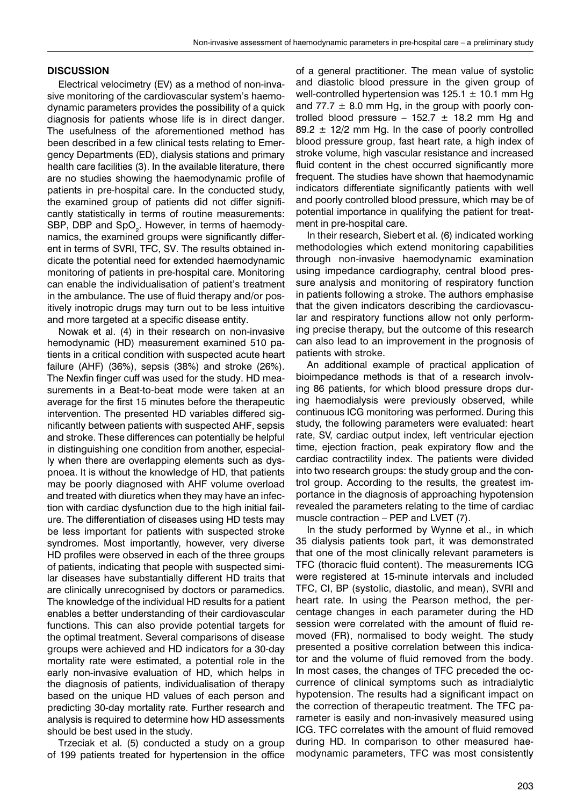## **DISCUSSION**

Electrical velocimetry (EV) as a method of non-invasive monitoring of the cardiovascular system's haemodynamic parameters provides the possibility of a quick diagnosis for patients whose life is in direct danger. The usefulness of the aforementioned method has been described in a few clinical tests relating to Emergency Departments (ED), dialysis stations and primary health care facilities (3). In the available literature, there are no studies showing the haemodynamic profile of patients in pre-hospital care. In the conducted study, the examined group of patients did not differ significantly statistically in terms of routine measurements: SBP, DBP and SpO<sub>2</sub>. However, in terms of haemodynamics, the examined groups were significantly different in terms of SVRI, TFC, SV. The results obtained indicate the potential need for extended haemodynamic monitoring of patients in pre-hospital care. Monitoring can enable the individualisation of patient's treatment in the ambulance. The use of fluid therapy and/or positively inotropic drugs may turn out to be less intuitive and more targeted at a specific disease entity.

Nowak et al. (4) in their research on non-invasive hemodynamic (HD) measurement examined 510 patients in a critical condition with suspected acute heart failure (AHF) (36%), sepsis (38%) and stroke (26%). The Nexfin finger cuff was used for the study. HD measurements in a Beat-to-beat mode were taken at an average for the first 15 minutes before the therapeutic intervention. The presented HD variables differed significantly between patients with suspected AHF, sepsis and stroke. These differences can potentially be helpful in distinguishing one condition from another, especially when there are overlapping elements such as dyspnoea. It is without the knowledge of HD, that patients may be poorly diagnosed with AHF volume overload and treated with diuretics when they may have an infection with cardiac dysfunction due to the high initial failure. The differentiation of diseases using HD tests may be less important for patients with suspected stroke syndromes. Most importantly, however, very diverse HD profiles were observed in each of the three groups of patients, indicating that people with suspected similar diseases have substantially different HD traits that are clinically unrecognised by doctors or paramedics. The knowledge of the individual HD results for a patient enables a better understanding of their cardiovascular functions. This can also provide potential targets for the optimal treatment. Several comparisons of disease groups were achieved and HD indicators for a 30-day mortality rate were estimated, a potential role in the early non-invasive evaluation of HD, which helps in the diagnosis of patients, individualisation of therapy based on the unique HD values of each person and predicting 30-day mortality rate. Further research and analysis is required to determine how HD assessments should be best used in the study.

Trzeciak et al. (5) conducted a study on a group of 199 patients treated for hypertension in the office of a general practitioner. The mean value of systolic and diastolic blood pressure in the given group of well-controlled hypertension was  $125.1 \pm 10.1$  mm Hg and 77.7  $\pm$  8.0 mm Hg, in the group with poorly controlled blood pressure – 152.7  $\pm$  18.2 mm Hg and 89.2  $\pm$  12/2 mm Hg. In the case of poorly controlled blood pressure group, fast heart rate, a high index of stroke volume, high vascular resistance and increased fluid content in the chest occurred significantly more frequent. The studies have shown that haemodynamic indicators differentiate significantly patients with well and poorly controlled blood pressure, which may be of potential importance in qualifying the patient for treatment in pre-hospital care.

In their research, Siebert et al. (6) indicated working methodologies which extend monitoring capabilities through non-invasive haemodynamic examination using impedance cardiography, central blood pressure analysis and monitoring of respiratory function in patients following a stroke. The authors emphasise that the given indicators describing the cardiovascular and respiratory functions allow not only performing precise therapy, but the outcome of this research can also lead to an improvement in the prognosis of patients with stroke.

An additional example of practical application of bioimpedance methods is that of a research involving 86 patients, for which blood pressure drops during haemodialysis were previously observed, while continuous ICG monitoring was performed. During this study, the following parameters were evaluated: heart rate, SV, cardiac output index, left ventricular ejection time, ejection fraction, peak expiratory flow and the cardiac contractility index. The patients were divided into two research groups: the study group and the control group. According to the results, the greatest importance in the diagnosis of approaching hypotension revealed the parameters relating to the time of cardiac muscle contraction – PEP and LVET (7).

In the study performed by Wynne et al., in which 35 dialysis patients took part, it was demonstrated that one of the most clinically relevant parameters is TFC (thoracic fluid content). The measurements ICG were registered at 15-minute intervals and included TFC, CI, BP (systolic, diastolic, and mean), SVRI and heart rate. In using the Pearson method, the percentage changes in each parameter during the HD session were correlated with the amount of fluid removed (FR), normalised to body weight. The study presented a positive correlation between this indicator and the volume of fluid removed from the body. In most cases, the changes of TFC preceded the occurrence of clinical symptoms such as intradialytic hypotension. The results had a significant impact on the correction of therapeutic treatment. The TFC parameter is easily and non-invasively measured using ICG. TFC correlates with the amount of fluid removed during HD. In comparison to other measured haemodynamic parameters, TFC was most consistently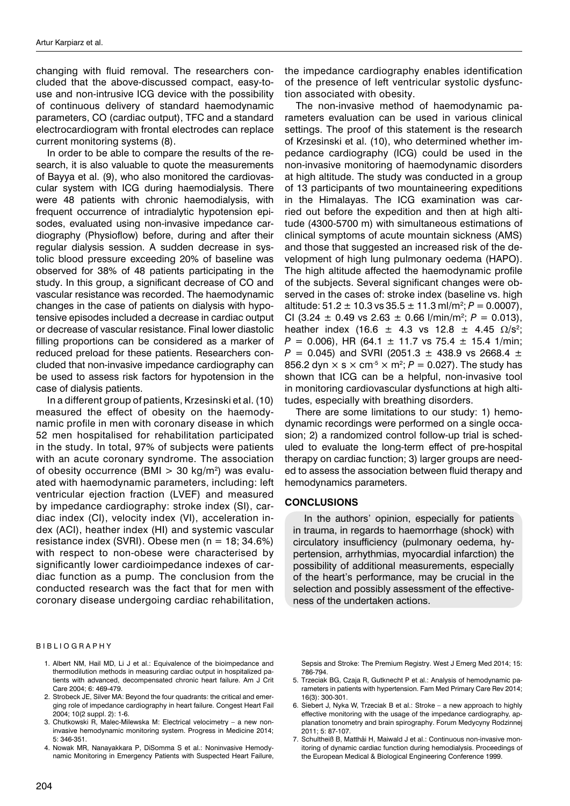changing with fluid removal. The researchers concluded that the above-discussed compact, easy-touse and non-intrusive ICG device with the possibility of continuous delivery of standard haemodynamic parameters, CO (cardiac output), TFC and a standard electrocardiogram with frontal electrodes can replace current monitoring systems (8).

In order to be able to compare the results of the research, it is also valuable to quote the measurements of Bayya et al. (9), who also monitored the cardiovascular system with ICG during haemodialysis. There were 48 patients with chronic haemodialysis, with frequent occurrence of intradialytic hypotension episodes, evaluated using non-invasive impedance cardiography (Physioflow) before, during and after their regular dialysis session. A sudden decrease in systolic blood pressure exceeding 20% of baseline was observed for 38% of 48 patients participating in the study. In this group, a significant decrease of CO and vascular resistance was recorded. The haemodynamic changes in the case of patients on dialysis with hypotensive episodes included a decrease in cardiac output or decrease of vascular resistance. Final lower diastolic filling proportions can be considered as a marker of reduced preload for these patients. Researchers concluded that non-invasive impedance cardiography can be used to assess risk factors for hypotension in the case of dialysis patients.

In a different group of patients, Krzesinski et al. (10) measured the effect of obesity on the haemodynamic profile in men with coronary disease in which 52 men hospitalised for rehabilitation participated in the study. In total, 97% of subjects were patients with an acute coronary syndrome. The association of obesity occurrence (BMI  $>$  30 kg/m<sup>2</sup>) was evaluated with haemodynamic parameters, including: left ventricular ejection fraction (LVEF) and measured by impedance cardiography: stroke index (SI), cardiac index (CI), velocity index (VI), acceleration index (ACI), heather index (HI) and systemic vascular resistance index (SVRI). Obese men (n = 18; 34.6%) with respect to non-obese were characterised by significantly lower cardioimpedance indexes of cardiac function as a pump. The conclusion from the conducted research was the fact that for men with coronary disease undergoing cardiac rehabilitation,

#### BIBLIOGRAPHY

- 1. Albert NM, Hail MD, Li J et al.: Equivalence of the bioimpedance and thermodilution methods in measuring cardiac output in hospitalized patients with advanced, decompensated chronic heart failure. Am J Crit Care 2004; 6: 469-479.
- 2. Strobeck JE, Silver MA: Beyond the four quadrants: the critical and emerging role of impedance cardiography in heart failure. Congest Heart Fail 2004; 10(2 suppl. 2): 1-6.
- 3. Chutkowski R, Malec-Milewska M: Electrical velocimetry a new noninvasive hemodynamic monitoring system. Progress in Medicine 2014; 5: 346-351.
- 4. Nowak MR, Nanayakkara P, DiSomma S et al.: Noninvasive Hemodynamic Monitoring in Emergency Patients with Suspected Heart Failure,

the impedance cardiography enables identification of the presence of left ventricular systolic dysfunction associated with obesity.

The non-invasive method of haemodynamic parameters evaluation can be used in various clinical settings. The proof of this statement is the research of Krzesinski et al. (10), who determined whether impedance cardiography (ICG) could be used in the non-invasive monitoring of haemodynamic disorders at high altitude. The study was conducted in a group of 13 participants of two mountaineering expeditions in the Himalayas. The ICG examination was carried out before the expedition and then at high altitude (4300-5700 m) with simultaneous estimations of clinical symptoms of acute mountain sickness (AMS) and those that suggested an increased risk of the development of high lung pulmonary oedema (HAPO). The high altitude affected the haemodynamic profile of the subjects. Several significant changes were observed in the cases of: stroke index (baseline vs. high altitude:  $51.2 \pm 10.3$  vs  $35.5 \pm 11.3$  ml/m<sup>2</sup>;  $P = 0.0007$ ), CI (3.24  $\pm$  0.49 vs 2.63  $\pm$  0.66 l/min/m<sup>2</sup>; P = 0.013), heather index (16.6  $\pm$  4.3 vs 12.8  $\pm$  4.45  $\Omega/s^2$ ;  $P = 0.006$ , HR (64.1  $\pm$  11.7 vs 75.4  $\pm$  15.4 1/min;  $P = 0.045$ ) and SVRI (2051.3  $\pm$  438.9 vs 2668.4  $\pm$ 856.2 dyn  $\times$  s  $\times$  cm<sup>-5</sup>  $\times$  m<sup>2</sup>;  $P = 0.027$ ). The study has shown that ICG can be a helpful, non-invasive tool in monitoring cardiovascular dysfunctions at high altitudes, especially with breathing disorders.

There are some limitations to our study: 1) hemodynamic recordings were performed on a single occasion; 2) a randomized control follow-up trial is scheduled to evaluate the long-term effect of pre-hospital therapy on cardiac function; 3) larger groups are needed to assess the association between fluid therapy and hemodynamics parameters.

## **CONCLUSIONS**

In the authors' opinion, especially for patients in trauma, in regards to haemorrhage (shock) with circulatory insufficiency (pulmonary oedema, hypertension, arrhythmias, myocardial infarction) the possibility of additional measurements, especially of the heart's performance, may be crucial in the selection and possibly assessment of the effectiveness of the undertaken actions.

Sepsis and Stroke: The Premium Registry. West J Emerg Med 2014; 15: 786-794.

- 5. Trzeciak BG, Czaja R, Gutknecht P et al.: Analysis of hemodynamic parameters in patients with hypertension. Fam Med Primary Care Rev 2014; 16(3): 300-301.
- 6. Siebert J, Nyka W, Trzeciak B et al.: Stroke a new approach to highly effective monitoring with the usage of the impedance cardiography, applanation tonometry and brain spirography. Forum Medycyny Rodzinnej 2011; 5: 87-107.
- 7. Schultheiß B, Matthäi H, Maiwald J et al.: Continuous non-invasive monitoring of dynamic cardiac function during hemodialysis. Proceedings of the European Medical & Biological Engineering Conference 1999.